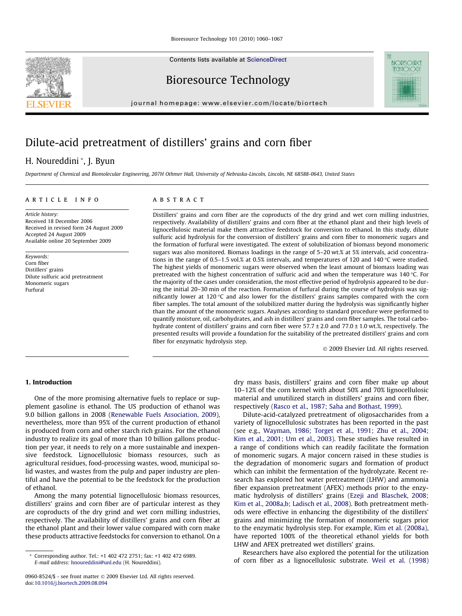Contents lists available at [ScienceDirect](http://www.sciencedirect.com/science/journal/09608524)

Bioresource Technology

journal homepage: [www.elsevier.com/locate/biortech](http://www.elsevier.com/locate/biortech)

# Dilute-acid pretreatment of distillers' grains and corn fiber

# H. Noureddini \*, J. Byun

Department of Chemical and Biomolecular Engineering, 207H Othmer Hall, University of Nebraska-Lincoln, Lincoln, NE 68588-0643, United States

#### article info

Article history: Received 18 December 2006 Received in revised form 24 August 2009 Accepted 24 August 2009 Available online 20 September 2009

Keywords: Corn fiber Distillers' grains Dilute sulfuric acid pretreatment Monomeric sugars Furfural

### **ABSTRACT**

Distillers' grains and corn fiber are the coproducts of the dry grind and wet corn milling industries, respectively. Availability of distillers' grains and corn fiber at the ethanol plant and their high levels of lignocellulosic material make them attractive feedstock for conversion to ethanol. In this study, dilute sulfuric acid hydrolysis for the conversion of distillers' grains and corn fiber to monomeric sugars and the formation of furfural were investigated. The extent of solubilization of biomass beyond monomeric sugars was also monitored. Biomass loadings in the range of 5–20 wt.% at 5% intervals, acid concentrations in the range of 0.5–1.5 vol.% at 0.5% intervals, and temperatures of 120 and 140 °C were studied. The highest yields of monomeric sugars were observed when the least amount of biomass loading was pretreated with the highest concentration of sulfuric acid and when the temperature was 140 °C. For the majority of the cases under consideration, the most effective period of hydrolysis appeared to be during the initial 20–30 min of the reaction. Formation of furfural during the course of hydrolysis was significantly lower at 120  $\degree$ C and also lower for the distillers' grains samples compared with the corn fiber samples. The total amount of the solubilized matter during the hydrolysis was significantly higher than the amount of the monomeric sugars. Analyses according to standard procedure were performed to quantify moisture, oil, carbohydrates, and ash in distillers' grains and corn fiber samples. The total carbohydrate content of distillers' grains and corn fiber were 57.7 ± 2.0 and 77.0 ± 1.0 wt.%, respectively. The presented results will provide a foundation for the suitability of the pretreated distillers' grains and corn fiber for enzymatic hydrolysis step.

2009 Elsevier Ltd. All rights reserved.

**BIORESOURCE TFCHIIOIOGY** 

#### 1. Introduction

One of the more promising alternative fuels to replace or supplement gasoline is ethanol. The US production of ethanol was 9.0 billion gallons in 2008 [\(Renewable Fuels Association, 2009\)](#page-7-0), nevertheless, more than 95% of the current production of ethanol is produced from corn and other starch rich grains. For the ethanol industry to realize its goal of more than 10 billion gallons production per year, it needs to rely on a more sustainable and inexpensive feedstock. Lignocellulosic biomass resources, such as agricultural residues, food-processing wastes, wood, municipal solid wastes, and wastes from the pulp and paper industry are plentiful and have the potential to be the feedstock for the production of ethanol.

Among the many potential lignocellulosic biomass resources, distillers' grains and corn fiber are of particular interest as they are coproducts of the dry grind and wet corn milling industries, respectively. The availability of distillers' grains and corn fiber at the ethanol plant and their lower value compared with corn make these products attractive feedstocks for conversion to ethanol. On a dry mass basis, distillers' grains and corn fiber make up about 10–12% of the corn kernel with about 50% and 70% lignocellulosic material and unutilized starch in distillers' grains and corn fiber, respectively ([Rasco et al., 1987; Saha and Bothast, 1999\)](#page-7-0).

Dilute-acid-catalyzed pretreatment of oligosaccharides from a variety of lignocellulosic substrates has been reported in the past (see e.g., [Wayman, 1986; Torget et al., 1991; Zhu et al., 2004;](#page-7-0) [Kim et al., 2001; Um et al., 2003](#page-7-0)). These studies have resulted in a range of conditions which can readily facilitate the formation of monomeric sugars. A major concern raised in these studies is the degradation of monomeric sugars and formation of product which can inhibit the fermentation of the hydrolyzate. Recent research has explored hot water pretreatment (LHW) and ammonia fiber expansion pretreatment (AFEX) methods prior to the enzymatic hydrolysis of distillers' grains [\(Ezeji and Blaschek, 2008;](#page-6-0) [Kim et al., 2008a,b; Ladisch et al., 2008\)](#page-6-0). Both pretreatment methods were effective in enhancing the digestibility of the distillers' grains and minimizing the formation of monomeric sugars prior to the enzymatic hydrolysis step. For example, [Kim et al. \(2008a\),](#page-6-0) have reported 100% of the theoretical ethanol yields for both LHW and AFEX pretreated wet distillers' grains.

Researchers have also explored the potential for the utilization of corn fiber as a lignocellulosic substrate. [Weil et al. \(1998\)](#page-7-0)



<sup>\*</sup> Corresponding author. Tel.: +1 402 472 2751; fax: +1 402 472 6989. E-mail address: [hnoureddini@unl.edu](mailto:hnoureddini@unl.edu) (H. Noureddini).

<sup>0960-8524/\$ -</sup> see front matter 2009 Elsevier Ltd. All rights reserved. doi:[10.1016/j.biortech.2009.08.094](http://dx.doi.org/10.1016/j.biortech.2009.08.094)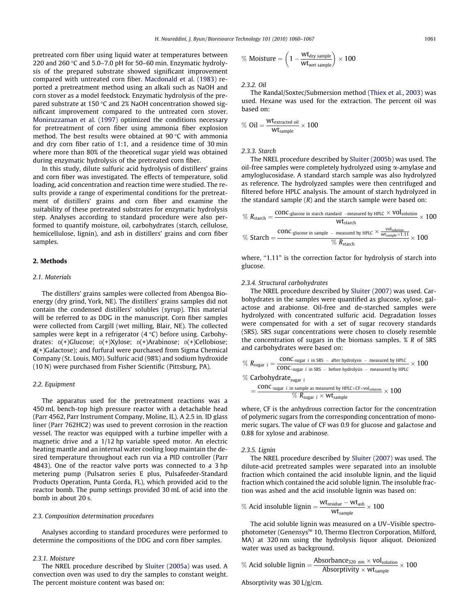pretreated corn fiber using liquid water at temperatures between 220 and 260 °C and 5.0–7.0 pH for 50–60 min. Enzymatic hydrolysis of the prepared substrate showed significant improvement compared with untreated corn fiber. [Macdonald et al. \(1983\)](#page-7-0) reported a pretreatment method using an alkali such as NaOH and corn stover as a model feedstock. Enzymatic hydrolysis of the prepared substrate at 150 °C and 2% NaOH concentration showed significant improvement compared to the untreated corn stover. [Moniruzzaman et al. \(1997\)](#page-7-0) optimized the conditions necessary for pretreatment of corn fiber using ammonia fiber explosion method. The best results were obtained at 90 °C with ammonia and dry corn fiber ratio of 1:1, and a residence time of 30 min where more than 80% of the theoretical sugar yield was obtained during enzymatic hydrolysis of the pretreated corn fiber.

In this study, dilute sulfuric acid hydrolysis of distillers' grains and corn fiber was investigated. The effects of temperature, solid loading, acid concentration and reaction time were studied. The results provide a range of experimental conditions for the pretreatment of distillers' grains and corn fiber and examine the suitability of these pretreated substrates for enzymatic hydrolysis step. Analyses according to standard procedure were also performed to quantify moisture, oil, carbohydrates (starch, cellulose, hemicellulose, lignin), and ash in distillers' grains and corn fiber samples.

#### 2. Methods

#### 2.1. Materials

The distillers' grains samples were collected from Abengoa Bioenergy (dry grind, York, NE). The distillers' grains samples did not contain the condensed distillers' solubles (syrup). This material will be referred to as DDG in the manuscript. Corn fiber samples were collected from Cargill (wet milling, Blair, NE). The collected samples were kept in a refrigerator (4 °C) before using. Carbohydrates:  $D(+)G$ lucose;  $D(+)X$ ylose;  $D(+)A$ rabinose;  $D(+)C$ ellobiose;  $d$ (+)Galactose); and furfural were purchased from Sigma Chemical Company (St. Louis, MO). Sulfuric acid (98%) and sodium hydroxide (10 N) were purchased from Fisher Scientific (Pittsburg, PA).

#### 2.2. Equipment

The apparatus used for the pretreatment reactions was a 450 mL bench-top high pressure reactor with a detachable head (Parr 4562, Parr Instrument Company, Moline, IL). A 2.5 in. ID glass liner (Parr 762HC2) was used to prevent corrosion in the reaction vessel. The reactor was equipped with a turbine impeller with a magnetic drive and a 1/12 hp variable speed motor. An electric heating mantle and an internal water cooling loop maintain the desired temperature throughout each run via a PID controller (Parr 4843). One of the reactor valve ports was connected to a 3 hp metering pump (Pulsatron series E plus, Pulsafeeder-Standard Products Operation, Punta Gorda, FL), which provided acid to the reactor bomb. The pump settings provided 30 mL of acid into the bomb in about 20 s.

#### 2.3. Composition determination procedures

Analyses according to standard procedures were performed to determine the compositions of the DDG and corn fiber samples.

#### 2.3.1. Moisture

The NREL procedure described by [Sluiter \(2005a\)](#page-7-0) was used. A convection oven was used to dry the samples to constant weight. The percent moisture content was based on:

$$
\% \ \text{Moisture} = \left(1 - \frac{wt_{dry \ \text{sample}}}{wt_{wet \ \text{sample}}} \right) \times 100
$$

2.3.2. Oil

The Randal/Soxtec/Submersion method [\(Thiex et al., 2003](#page-7-0)) was used. Hexane was used for the extraction. The percent oil was based on:

$$
\%~0il = \frac{wt_{extracted~oil}}{wt_{sample}} \times 100
$$

2.3.3. Starch

The NREL procedure described by [Sluiter \(2005b\)](#page-7-0) was used. The oil-free samples were completely hydrolyzed using  $\alpha$ -amylase and amyloglucosidase. A standard starch sample was also hydrolyzed as reference. The hydrolyzed samples were then centrifuged and filtered before HPLC analysis. The amount of starch hydrolyzed in the standard sample  $(R)$  and the starch sample were based on:

$$
\% R_{\text{start}} = \frac{\text{conc}_{\text{glucose in starth standard } -\text{measured by HPLC}} \times \text{Vol}_{\text{solution}}}{\text{Wt}_{\text{starth}}} \times 100
$$
\n
$$
\% \text{Start} = \frac{\text{conc}_{\text{glucose in sample } -\text{ measured by HPLC}} \times \frac{\text{vol}_{\text{solution}}}{\text{wt}_{\text{sample}} \times 1.11}}{\% R_{\text{starth}}} \times 100
$$

where, "1.11" is the correction factor for hydrolysis of starch into glucose.

#### 2.3.4. Structural carbohydrates

The NREL procedure described by [Sluiter \(2007\)](#page-7-0) was used. Carbohydrates in the samples were quantified as glucose, xylose, galactose and arabionse. Oil-free and de-starched samples were hydrolyzed with concentrated sulfuric acid. Degradation losses were compensated for with a set of sugar recovery standards (SRS). SRS sugar concentrations were chosen to closely resemble the concentration of sugars in the biomass samples. % R of SRS and carbohydrates were based on:

$$
\% R_{sugar\ i} = \frac{conc_{\text{-sugar\ i in SRS - after hydrolysis - measured by HPLC}}{conc_{\text{-sugar\ i in SRS - before hydrolysis - measured by HPLC}}} \times 100
$$
  

$$
\% Carbohydrate_{\text{sugar\ i}}
$$

$$
=\frac{\text{conc.}_{\text{sugar }i \text{ in sample as measured by HPLC} \times \text{CF} \times \text{vol}_{\text{solution}}}{\% R_{\text{sugar }i} \times \text{wt}_{\text{sample}}}\times 100
$$

where, CF is the anhydrous correction factor for the concentration of polymeric sugars from the corresponding concentration of monomeric sugars. The value of CF was 0.9 for glucose and galactose and 0.88 for xylose and arabinose.

#### 2.3.5. Lignin

The NREL procedure described by [Sluiter \(2007\)](#page-7-0) was used. The dilute-acid pretreated samples were separated into an insoluble fraction which contained the acid insoluble lignin, and the liquid fraction which contained the acid soluble lignin. The insoluble fraction was ashed and the acid insoluble lignin was based on:

$$
\% \text{ Acid insoluble lignin} = \frac{wt_{residue} - wt_{ash}}{wt_{sample}} \times 100
$$

The acid soluble lignin was measured on a UV–Visible spectrophotometer (Genensys<sup>™</sup> 10, Thermo Electron Corporation, Milford, MA) at 320 nm using the hydrolysis liquor aliquot. Deionized water was used as background.

$$
\% \text{ Acid soluble lignin} = \frac{\text{Absorbane}_{320 \text{ nm}} \times \text{vol}_{\text{solution}}}{\text{Absorptivity} \times \text{wt}_{\text{sample}}} \times 100
$$

Absorptivity was 30 L/g/cm.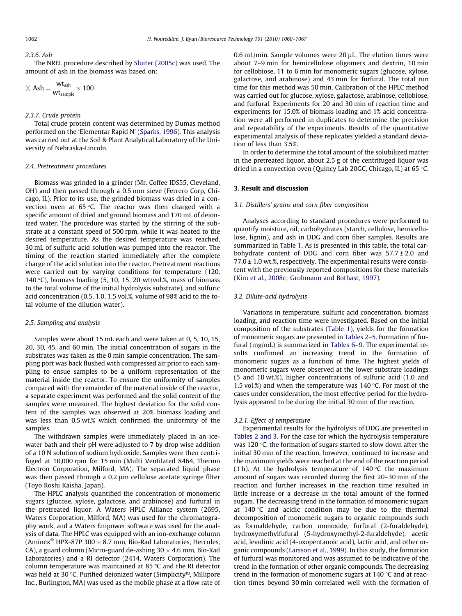#### $2.3.6.$  Ash

The NREL procedure described by [Sluiter \(2005c\)](#page-7-0) was used. The amount of ash in the biomass was based on:

$$
\%~Ash = \frac{wt_{ash}}{wt_{sample}} \times 100
$$

#### 2.3.7. Crude protein

Total crude protein content was determined by Dumas method performed on the 'Elementar Rapid N' ([Sparks, 1996\)](#page-7-0). This analysis was carried out at the Soil & Plant Analytical Laboratory of the University of Nebraska-Lincoln.

#### 2.4. Pretreatment procedures

Biomass was grinded in a grinder (Mr. Coffee IDS55, Cleveland, OH) and then passed through a 0.5 mm sieve (Ferrero Corp, Chicago, IL). Prior to its use, the grinded biomass was dried in a convection oven at 65 °C. The reactor was then charged with a specific amount of dried and ground biomass and 170 mL of deionized water. The procedure was started by the stirring of the substrate at a constant speed of 500 rpm, while it was heated to the desired temperature. As the desired temperature was reached, 30 mL of sulfuric acid solution was pumped into the reactor. The timing of the reaction started immediately after the complete charge of the acid solution into the reactor. Pretreatment reactions were carried out by varying conditions for temperature (120, 140 °C), biomass loading  $(5, 10, 15, 20 \text{ wt/vol.}\%$ , mass of biomass to the total volume of the initial hydrolysis substrate), and sulfuric acid concentration (0.5, 1.0, 1.5 vol.%, volume of 98% acid to the total volume of the dilution water).

#### 2.5. Sampling and analysis

Samples were about 15 mL each and were taken at 0, 5, 10, 15, 20, 30, 45, and 60 min. The initial concentration of sugars in the substrates was taken as the 0 min sample concentration. The sampling port was back flushed with compressed air prior to each sampling to ensue samples to be a uniform representation of the material inside the reactor. To ensure the uniformity of samples compared with the remainder of the material inside of the reactor, a separate experiment was performed and the solid content of the samples were measured. The highest deviation for the solid content of the samples was observed at 20% biomass loading and was less than 0.5 wt.% which confirmed the uniformity of the samples.

The withdrawn samples were immediately placed in an icewater bath and their pH were adjusted to 7 by drop wise addition of a 10 N solution of sodium hydroxide. Samples were then centrifuged at 10,000 rpm for 15 min (Multi Ventilated 8464, Thermo Electron Corporation, Milford, MA). The separated liquid phase was then passed through a 0.2 µm cellulose acetate syringe filter (Toyo Roshi Kaisha, Japan).

The HPLC analysis quantified the concentration of monomeric sugars (glucose, xylose, galactose, and arabinose) and furfural in the pretreated liquor. A Waters HPLC Alliance system (2695, Waters Corporation, Milford, MA) was used for the chromatography work, and a Waters Empower software was used for the analysis of data. The HPLC was equipped with an ion-exchange column (Aminex<sup>®</sup> HPX-87P 300  $\times$  8.7 mm, Bio-Rad Laboratories, Hercules, CA), a guard column (Micro-guard de-ashing  $30 \times 4.6$  mm, Bio-Rad Laboratories) and a RI detector (2414, Waters Corporation). The column temperature was maintained at 85 °C and the RI detector was held at 30 °C. Purified deionized water (Simplicity™, Millipore Inc., Burlington, MA) was used as the mobile phase at a flow rate of 0.6 mL/min. Sample volumes were 20 uL. The elution times were about 7–9 min for hemicellulose oligomers and dextrin, 10 min for cellobiose, 11 to 6 min for monomeric sugars (glucose, xylose, galactose, and arabinose) and 43 min for furfural. The total run time for this method was 50 min. Calibration of the HPLC method was carried out for glucose, xylose, galactose, arabinose, cellobiose, and furfural. Experiments for 20 and 30 min of reaction time and experiments for 15.0% of biomass loading and 1% acid concentration were all performed in duplicates to determine the precision and repeatability of the experiments. Results of the quantitative experimental analysis of these replicates yielded a standard deviation of less than 3.5%.

In order to determine the total amount of the solubilized matter in the pretreated liquor, about 2.5 g of the centrifuged liquor was dried in a convection oven (Quincy Lab 20GC, Chicago, IL) at 65 °C.

#### 3. Result and discussion

#### 3.1. Distillers' grains and corn fiber composition

Analyses according to standard procedures were performed to quantify moisture, oil, carbohydrates (starch, cellulose, hemicellulose, lignin), and ash in DDG and corn fiber samples. Results are summarized in [Table 1.](#page-3-0) As is presented in this table, the total carbohydrate content of DDG and corn fiber was  $57.7 \pm 2.0$  and  $77.0 \pm 1.0$  wt.%, respectively. The experimental results were consistent with the previously reported compositions for these materials ([Kim et al., 2008c; Grohmann and Bothast, 1997](#page-6-0)).

#### 3.2. Dilute-acid hydrolysis

Variations in temperature, sulfuric acid concentration, biomass loading, and reaction time were investigated. Based on the initial composition of the substrates [\(Table 1\)](#page-3-0), yields for the formation of monomeric sugars are presented in [Tables 2–5.](#page-3-0) Formation of furfural (mg/mL) is summarized in [Tables 6–9.](#page-4-0) The experimental results confirmed an increasing trend in the formation of monomeric sugars as a function of time. The highest yields of monomeric sugars were observed at the lower substrate loadings (5 and 10 wt.%), higher concentrations of sulfuric acid (1.0 and 1.5 vol.%) and when the temperature was 140  $\degree$ C. For most of the cases under consideration, the most effective period for the hydrolysis appeared to be during the initial 30 min of the reaction.

#### 3.2.1. Effect of temperature

Experimental results for the hydrolysis of DDG are presented in [Tables 2 and 3](#page-3-0). For the case for which the hydrolysis temperature was 120  $\degree$ C, the formation of sugars started to slow down after the initial 30 min of the reaction, however, continued to increase and the maximum yields were reached at the end of the reaction period (1 h). At the hydrolysis temperature of  $140^{\circ}$ C the maximum amount of sugars was recorded during the first 20–30 min of the reaction and further increases in the reaction time resulted in little increase or a decrease in the total amount of the formed sugars. The decreasing trend in the formation of monomeric sugars at  $140\degree$ C and acidic condition may be due to the thermal decomposition of monomeric sugars to organic compounds such as formaldehyde, carbon monoxide, furfural (2-furaldehyde), hydroxymethylfufural (5-hydroxymethyl-2-furaldehyde), acetic acid, levulinic acid (4-oxopentanoic acid), lactic acid, and other organic compounds ([Larsson et al., 1999\)](#page-7-0). In this study, the formation of furfural was monitored and was assumed to be indicative of the trend in the formation of other organic compounds. The decreasing trend in the formation of monomeric sugars at  $140^{\circ}$ C and at reaction times beyond 30 min correlated well with the formation of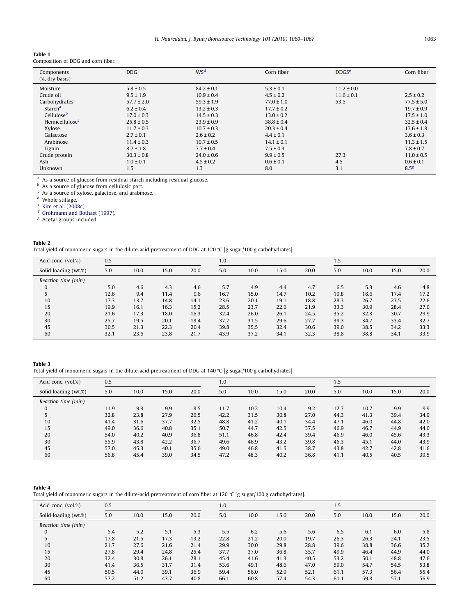<span id="page-3-0"></span>

| Table 1                            |
|------------------------------------|
| Composition of DDG and corn fiber. |

| Components<br>(X, dry basis) | DDG.           | W <sub>S</sub> <sup>d</sup> | Corn fiber     | DDGS <sup>e</sup> | Corn fiber <sup>f</sup> |
|------------------------------|----------------|-----------------------------|----------------|-------------------|-------------------------|
| Moisture                     | $5.8 \pm 0.5$  | $84.2 \pm 0.1$              | $5.3 \pm 0.1$  | $11.2 \pm 0.0$    |                         |
| Crude oil                    | $9.5 \pm 1.9$  | $10.9 \pm 0.4$              | $4.5 \pm 0.2$  | $11.6 \pm 0.1$    | $2.5 \pm 0.2$           |
| Carbohydrates                | $57.7 \pm 2.0$ | $59.3 \pm 1.9$              | $77.0 \pm 1.0$ | 53.5              | $77.5 \pm 5.0$          |
| Starch <sup>a</sup>          | $6.2 \pm 0.4$  | $13.2 \pm 0.3$              | $17.7 \pm 0.2$ |                   | $19.7 \pm 0.9$          |
| Cellulose <sup>b</sup>       | $17.0 \pm 0.3$ | $14.5 \pm 0.3$              | $13.0 \pm 0.2$ |                   | $17.5 \pm 1.0$          |
| Hemicellulose <sup>c</sup>   | $25.8 \pm 0.5$ | $23.9 \pm 0.9$              | $38.8 \pm 0.4$ |                   | $32.5 \pm 0.4$          |
| Xylose                       | $11.7 \pm 0.3$ | $10.7 \pm 0.3$              | $20.3 \pm 0.4$ |                   | $17.6 \pm 1.8$          |
| Galactose                    | $2.7 \pm 0.1$  | $2.6 \pm 0.2$               | $4.4 \pm 0.1$  |                   | $3.6 \pm 0.3$           |
| Arabinose                    | $11.4 \pm 0.3$ | $10.7 \pm 0.5$              | $14.1 \pm 0.1$ |                   | $11.3 \pm 1.5$          |
| Lignin                       | $8.7 \pm 1.8$  | $7.7 \pm 0.4$               | $7.5 \pm 0.3$  |                   | $7.8 \pm 0.7$           |
| Crude protein                | $30.3 \pm 0.8$ | $24.0 \pm 0.6$              | $9.9 \pm 0.5$  | 27.3              | $11.0 \pm 0.5$          |
| Ash                          | $1.0 \pm 0.1$  | $4.5 \pm 0.2$               | $0.6 \pm 0.1$  | 4.5               | $0.6 \pm 0.1$           |
| Unknown                      | 1.5            | 1.3                         | 8.0            | 3.1               | 8.5 <sup>g</sup>        |

<sup>a</sup> As a source of glucose from residual starch including residual glucose.

b As a source of glucose from cellulosic part.

<sup>c</sup> As a source of xylose, galactose, and arabinose.

<sup>d</sup> Whole stillage.

<sup>e</sup> [Kim et al. \(2008c\)](#page-6-0).

<sup>f</sup> [Grohmann and Bothast \(1997\)](#page-6-0).

<sup>g</sup> Acetyl groups included.

| Table 2                                                                                                         |  |
|-----------------------------------------------------------------------------------------------------------------|--|
| Total yield of monomeric sugars in the dilute-acid pretreatment of DDG at 120 °C [g sugar/100 g carbohydrates]. |  |

| Acid conc. (vol.%)   | 0.5  |      |      |      | 1.0  |      |      |      | 1.5  |      |      |      |
|----------------------|------|------|------|------|------|------|------|------|------|------|------|------|
| Solid loading (wt.%) | 5.0  | 10.0 | 15.0 | 20.0 | 5.0  | 10.0 | 15.0 | 20.0 | 5.0  | 10.0 | 15.0 | 20.0 |
| Reaction time (min)  |      |      |      |      |      |      |      |      |      |      |      |      |
| 0                    | 5.0  | 4.6  | 4.3  | 4.6  | 5.7  | 4.9  | 4.4  | 4.7  | 6.5  | 5.3  | 4.6  | 4.8  |
|                      | 12.6 | 9.4  | 11.4 | 9.6  | 16.7 | 15.0 | 14.7 | 10.2 | 19.8 | 18.6 | 17.4 | 17.2 |
| 10                   | 17.3 | 13.7 | 14.8 | 14.1 | 23.6 | 20.1 | 19.1 | 18.8 | 28.3 | 26.7 | 23.5 | 22.6 |
| 15                   | 19.9 | 16.1 | 16.3 | 15.2 | 28.5 | 23.7 | 22.6 | 21.9 | 33.3 | 30.9 | 28.4 | 27.0 |
| 20                   | 21.6 | 17.3 | 18.0 | 16.3 | 32.4 | 26.0 | 26.1 | 24.5 | 35.2 | 32.8 | 30.7 | 29.9 |
| 30                   | 25.7 | 19.5 | 20.1 | 18.4 | 37.7 | 31.5 | 29.6 | 27.7 | 38.3 | 34.7 | 33.4 | 32.7 |
| 45                   | 30.5 | 21.3 | 22.3 | 20.4 | 39.8 | 35.5 | 32.4 | 30.6 | 39.0 | 38.5 | 34.2 | 33.3 |
| 60                   | 32.1 | 23.6 | 23.8 | 21.7 | 43.9 | 37.2 | 34.1 | 32.3 | 38.8 | 38.8 | 34.1 | 33.9 |

Table 3

Total yield of monomeric sugars in the dilute-acid pretreatment of DDG at 140 °C [g sugar/100 g carbohydrates].

| Acid conc. (vol.%)   | 0.5  |      |      |      | 1.0  |      |      |      | 1.5  |      |      |      |
|----------------------|------|------|------|------|------|------|------|------|------|------|------|------|
| Solid loading (wt.%) | 5.0  | 10.0 | 15.0 | 20.0 | 5.0  | 10.0 | 15.0 | 20.0 | 5.0  | 10.0 | 15.0 | 20.0 |
| Reaction time (min)  |      |      |      |      |      |      |      |      |      |      |      |      |
| $\bf{0}$             | 11.9 | 9.9  | 9.9  | 8.5  | 11.7 | 10.2 | 10.4 | 9.2  | 12.7 | 10.7 | 9.9  | 9.9  |
|                      | 32.8 | 23.8 | 27.9 | 26.5 | 42.2 | 31.5 | 30.8 | 27.0 | 44.3 | 41.3 | 39.4 | 34.9 |
| 10                   | 41.4 | 31.6 | 37.7 | 32.5 | 48.8 | 41.2 | 40.1 | 34.4 | 47.1 | 46.0 | 44.8 | 42.0 |
| 15                   | 49.0 | 36.6 | 40.8 | 35.1 | 50.7 | 44.7 | 42.5 | 37.5 | 46.9 | 46.7 | 44.9 | 44.0 |
| 20                   | 54.0 | 40.2 | 40.9 | 36.8 | 51.1 | 46.8 | 42.4 | 39.4 | 46.9 | 46.0 | 45.6 | 43.3 |
| 30                   | 55.9 | 43.8 | 42.2 | 36.7 | 49.6 | 46.9 | 43.2 | 39.8 | 46.3 | 45.1 | 44.0 | 43.9 |
| 45                   | 57.0 | 45.3 | 40.1 | 35.6 | 49.0 | 46.8 | 41.5 | 38.7 | 43.8 | 42.7 | 42.8 | 41.6 |
| 60                   | 56.8 | 45.4 | 39.0 | 34.5 | 47.2 | 48.3 | 40.2 | 36.8 | 41.1 | 40.5 | 40.5 | 39.5 |

Table 4 Total yield of monomeric sugars in the dilute-acid pretreatment of corn fiber at 120 °C [g sugar/100 g carbohydrates].

| Acid conc. (vol.%)   | 0.5  |      |      |      | 1.0  |      |      |      | 1.5  |      |      |      |  |
|----------------------|------|------|------|------|------|------|------|------|------|------|------|------|--|
| Solid loading (wt.%) | 5.0  | 10.0 | 15.0 | 20.0 | 5.0  | 10.0 | 15.0 | 20.0 | 5.0  | 10.0 | 15.0 | 20.0 |  |
| Reaction time (min)  |      |      |      |      |      |      |      |      |      |      |      |      |  |
| $\Omega$             | 5.4  | 5.2  | 5.1  | 5.3  | 5.5  | 6.2  | 5.6  | 5.6  | 6.5  | 6.1  | 6.0  | 5.8  |  |
|                      | 17.8 | 21.5 | 17.3 | 13.2 | 22.8 | 21.2 | 20.0 | 19.7 | 26.3 | 26.3 | 24.1 | 23.5 |  |
| 10                   | 21.7 | 27.6 | 21.6 | 21.4 | 29.9 | 30.0 | 29.8 | 28.8 | 39.6 | 38.8 | 36.6 | 35.2 |  |
| 15                   | 27.8 | 29.4 | 24.8 | 25.4 | 37.7 | 37.0 | 36.8 | 35.7 | 49.9 | 46.4 | 44.9 | 44.0 |  |
| 20                   | 32.4 | 30.8 | 26.1 | 28.1 | 45.4 | 41.6 | 41.3 | 40.5 | 53.2 | 50.1 | 48.8 | 47.6 |  |
| 30                   | 41.4 | 36.5 | 31.7 | 31.4 | 53.6 | 49.1 | 48.6 | 47.0 | 59.0 | 54.7 | 54.5 | 53.8 |  |
| 45                   | 50.5 | 44.0 | 39.1 | 36.9 | 59.4 | 56.0 | 52.9 | 52.1 | 61.1 | 57.3 | 56.4 | 55.4 |  |
| 60                   | 57.2 | 51.2 | 43.7 | 40.8 | 66.1 | 60.8 | 57.4 | 54.3 | 61.1 | 59.8 | 57.1 | 56.9 |  |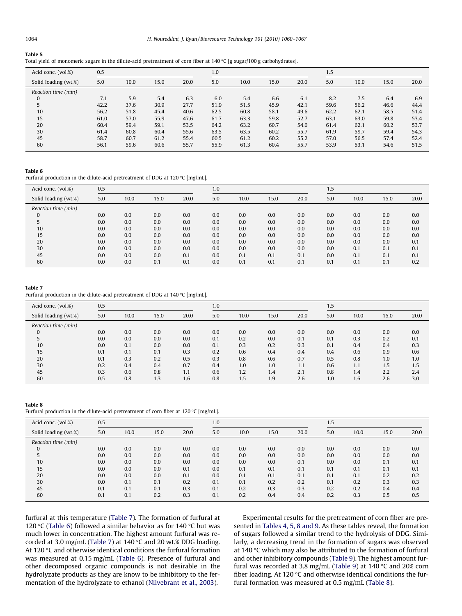#### <span id="page-4-0"></span>Table 5

|  |  | Total yield of monomeric sugars in the dilute-acid pretreatment of corn fiber at 140 °C [g sugar/100 g carbohydrates]. |
|--|--|------------------------------------------------------------------------------------------------------------------------|
|  |  |                                                                                                                        |

| Acid conc. (vol.%)   | 0.5  |      |      |      | 1.0  |      |      |      | 1.5  |      |      |      |  |
|----------------------|------|------|------|------|------|------|------|------|------|------|------|------|--|
| Solid loading (wt.%) | 5.0  | 10.0 | 15.0 | 20.0 | 5.0  | 10.0 | 15.0 | 20.0 | 5.0  | 10.0 | 15.0 | 20.0 |  |
| Reaction time (min)  |      |      |      |      |      |      |      |      |      |      |      |      |  |
| 0                    | 7.1  | 5.9  | 5.4  | 6.3  | 6.0  | 5.4  | 6.6  | 6.1  | 8.2  | 7.5  | 6.4  | 6.9  |  |
| 5                    | 42.2 | 37.6 | 30.9 | 27.7 | 51.9 | 51.5 | 45.9 | 42.1 | 59.6 | 56.2 | 46.6 | 44.4 |  |
| 10                   | 56.2 | 51.8 | 45.4 | 40.6 | 62.5 | 60.8 | 58.1 | 49.6 | 62.2 | 62.1 | 58.5 | 51.4 |  |
| 15                   | 61.0 | 57.0 | 55.9 | 47.6 | 61.7 | 63.3 | 59.8 | 52.7 | 63.1 | 63.0 | 59.8 | 53.4 |  |
| 20                   | 60.4 | 59.4 | 59.1 | 53.5 | 64.2 | 63.2 | 60.7 | 54.0 | 61.4 | 62.1 | 60.2 | 53.7 |  |
| 30                   | 61.4 | 60.8 | 60.4 | 55.6 | 63.5 | 63.5 | 60.2 | 55.7 | 61.9 | 59.7 | 59.4 | 54.3 |  |
| 45                   | 58.7 | 60.7 | 61.2 | 55.4 | 60.5 | 61.2 | 60.2 | 55.2 | 57.0 | 56.5 | 57.4 | 52.4 |  |
| 60                   | 56.1 | 59.6 | 60.6 | 55.7 | 55.9 | 61.3 | 60.4 | 55.7 | 53.9 | 53.1 | 54.6 | 51.5 |  |

#### Table 6

Furfural production in the dilute-acid pretreatment of DDG at 120 °C [mg/mL].

| Acid conc. (vol.%)   | 0.5 |      |      |      |     |      |      |      | 1.5 |      |      |      |  |
|----------------------|-----|------|------|------|-----|------|------|------|-----|------|------|------|--|
| Solid loading (wt.%) | 5.0 | 10.0 | 15.0 | 20.0 | 5.0 | 10.0 | 15.0 | 20.0 | 5.0 | 10.0 | 15.0 | 20.0 |  |
| Reaction time (min)  |     |      |      |      |     |      |      |      |     |      |      |      |  |
| 0                    | 0.0 | 0.0  | 0.0  | 0.0  | 0.0 | 0.0  | 0.0  | 0.0  | 0.0 | 0.0  | 0.0  | 0.0  |  |
|                      | 0.0 | 0.0  | 0.0  | 0.0  | 0.0 | 0.0  | 0.0  | 0.0  | 0.0 | 0.0  | 0.0  | 0.0  |  |
| 10                   | 0.0 | 0.0  | 0.0  | 0.0  | 0.0 | 0.0  | 0.0  | 0.0  | 0.0 | 0.0  | 0.0  | 0.0  |  |
| 15                   | 0.0 | 0.0  | 0.0  | 0.0  | 0.0 | 0.0  | 0.0  | 0.0  | 0.0 | 0.0  | 0.0  | 0.0  |  |
| 20                   | 0.0 | 0.0  | 0.0  | 0.0  | 0.0 | 0.0  | 0.0  | 0.0  | 0.0 | 0.0  | 0.0  | 0.1  |  |
| 30                   | 0.0 | 0.0  | 0.0  | 0.0  | 0.0 | 0.0  | 0.0  | 0.0  | 0.0 | 0.1  | 0.1  | 0.1  |  |
| 45                   | 0.0 | 0.0  | 0.0  | 0.1  | 0.0 | 0.1  | 0.1  | 0.1  | 0.0 | 0.1  | 0.1  | 0.1  |  |
| 60                   | 0.0 | 0.0  | 0.1  | 0.1  | 0.0 | 0.1  | 0.1  | 0.1  | 0.1 | 0.1  | 0.1  | 0.2  |  |

## Table 7

Furfural production in the dilute-acid pretreatment of DDG at 140 °C [mg/mL].

| Acid conc. (vol.%)   | 0.5 |      |      |      | 1.0 |      |      |      | 1.5 |      |      |      |  |
|----------------------|-----|------|------|------|-----|------|------|------|-----|------|------|------|--|
| Solid loading (wt.%) | 5.0 | 10.0 | 15.0 | 20.0 | 5.0 | 10.0 | 15.0 | 20.0 | 5.0 | 10.0 | 15.0 | 20.0 |  |
| Reaction time (min)  |     |      |      |      |     |      |      |      |     |      |      |      |  |
| 0                    | 0.0 | 0.0  | 0.0  | 0.0  | 0.0 | 0.0  | 0.0  | 0.0  | 0.0 | 0.0  | 0.0  | 0.0  |  |
|                      | 0.0 | 0.0  | 0.0  | 0.0  | 0.1 | 0.2  | 0.0  | 0.1  | 0.1 | 0.3  | 0.2  | 0.1  |  |
| 10                   | 0.0 | 0.1  | 0.0  | 0.0  | 0.1 | 0.3  | 0.2  | 0.3  | 0.1 | 0.4  | 0.4  | 0.3  |  |
| 15                   | 0.1 | 0.1  | 0.1  | 0.3  | 0.2 | 0.6  | 0.4  | 0.4  | 0.4 | 0.6  | 0.9  | 0.6  |  |
| 20                   | 0.1 | 0.3  | 0.2  | 0.5  | 0.3 | 0.8  | 0.6  | 0.7  | 0.5 | 0.8  | 1.0  | 1.0  |  |
| 30                   | 0.2 | 0.4  | 0.4  | 0.7  | 0.4 | 1.0  | 1.0  | 1.1  | 0.6 | 1.1  | 1.5  | 1.5  |  |
| 45                   | 0.3 | 0.6  | 0.8  | 1.1  | 0.6 | 1.2  | 1.4  | 2.1  | 0.8 | 1.4  | 2.2  | 2.4  |  |
| 60                   | 0.5 | 0.8  | 1.3  | 1.6  | 0.8 | 1.5  | 1.9  | 2.6  | 1.0 | 1.6  | 2.6  | 3.0  |  |

Table 8

Furfural production in the dilute-acid pretreatment of corn fiber at 120 °C [mg/mL].

| Acid conc. (vol.%)   | 0.5 |      |      |      | 1.0 |      |      |      | 1.5 |      |      |      |  |
|----------------------|-----|------|------|------|-----|------|------|------|-----|------|------|------|--|
| Solid loading (wt.%) | 5.0 | 10.0 | 15.0 | 20.0 | 5.0 | 10.0 | 15.0 | 20.0 | 5.0 | 10.0 | 15.0 | 20.0 |  |
| Reaction time (min)  |     |      |      |      |     |      |      |      |     |      |      |      |  |
| 0                    | 0.0 | 0.0  | 0.0  | 0.0  | 0.0 | 0.0  | 0.0  | 0.0  | 0.0 | 0.0  | 0.0  | 0.0  |  |
|                      | 0.0 | 0.0  | 0.0  | 0.0  | 0.0 | 0.0  | 0.0  | 0.0  | 0.0 | 0.0  | 0.0  | 0.0  |  |
| 10                   | 0.0 | 0.0  | 0.0  | 0.0  | 0.0 | 0.0  | 0.0  | 0.1  | 0.0 | 0.0  | 0.1  | 0.1  |  |
| 15                   | 0.0 | 0.0  | 0.0  | 0.1  | 0.0 | 0.1  | 0.1  | 0.1  | 0.1 | 0.1  | 0.1  | 0.1  |  |
| 20                   | 0.0 | 0.0  | 0.0  | 0.1  | 0.0 | 0.1  | 0.1  | 0.1  | 0.1 | 0.1  | 0.2  | 0.2  |  |
| 30                   | 0.0 | 0.1  | 0.1  | 0.2  | 0.1 | 0.1  | 0.2  | 0.2  | 0.1 | 0.2  | 0.3  | 0.3  |  |
| 45                   | 0.1 | 0.1  | 0.1  | 0.3  | 0.1 | 0.2  | 0.3  | 0.3  | 0.2 | 0.2  | 0.4  | 0.4  |  |
| 60                   | 0.1 | 0.1  | 0.2  | 0.3  | 0.1 | 0.2  | 0.4  | 0.4  | 0.2 | 0.3  | 0.5  | 0.5  |  |

furfural at this temperature (Table 7). The formation of furfural at 120 °C (Table 6) followed a similar behavior as for 140 °C but was much lower in concentration. The highest amount furfural was recorded at 3.0 mg/mL (Table 7) at 140 °C and 20 wt.% DDG loading. At 120 °C and otherwise identical conditions the furfural formation was measured at 0.15 mg/mL (Table 6). Presence of furfural and other decomposed organic compounds is not desirable in the hydrolyzate products as they are know to be inhibitory to the fermentation of the hydrolyzate to ethanol [\(Nilvebrant et al., 2003](#page-7-0)).

Experimental results for the pretreatment of corn fiber are presented in [Tables 4, 5, 8 and 9.](#page-3-0) As these tables reveal, the formation of sugars followed a similar trend to the hydrolysis of DDG. Similarly, a decreasing trend in the formation of sugars was observed at 140  $\degree$ C which may also be attributed to the formation of furfural and other inhibitory compounds [\(Table 9](#page-5-0)). The highest amount fur-fural was recorded at 3.8 mg/mL [\(Table 9](#page-5-0)) at 140  $\degree$ C and 20% corn fiber loading. At 120 $\degree$ C and otherwise identical conditions the furfural formation was measured at 0.5 mg/mL (Table 8).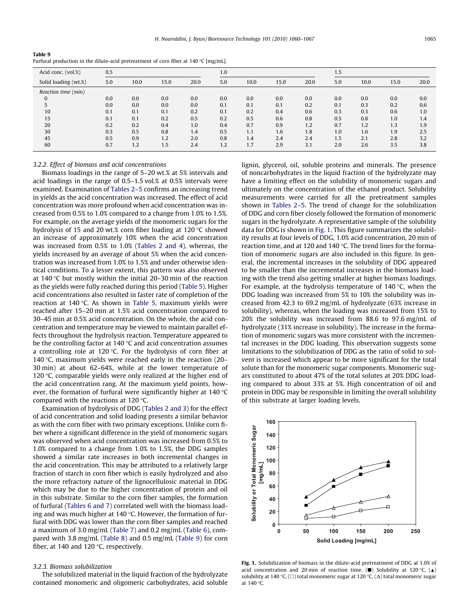<span id="page-5-0"></span>

| Table 9 |                                                                                              |
|---------|----------------------------------------------------------------------------------------------|
|         | Furfural production in the dilute-acid pretreatment of corn fiber at $140\degree C$ [mg/mL]. |

| Acid conc. (vol.%)   | 0.5 |      |      |      | 1.0 |      |      |      |     | 1.5  |      |      |  |
|----------------------|-----|------|------|------|-----|------|------|------|-----|------|------|------|--|
| Solid loading (wt.%) | 5.0 | 10.0 | 15.0 | 20.0 | 5.0 | 10.0 | 15.0 | 20.0 | 5.0 | 10.0 | 15.0 | 20.0 |  |
| Reaction time (min)  |     |      |      |      |     |      |      |      |     |      |      |      |  |
|                      | 0.0 | 0.0  | 0.0  | 0.0  | 0.0 | 0.0  | 0.0  | 0.0  | 0.0 | 0.0  | 0.0  | 0.0  |  |
|                      | 0.0 | 0.0  | 0.0  | 0.0  | 0.1 | 0.1  | 0.1  | 0.2  | 0.1 | 0.3  | 0.2  | 0.6  |  |
| 10                   | 0.1 | 0.1  | 0.1  | 0.2  | 0.1 | 0.2  | 0.4  | 0.6  | 0.3 | 0.3  | 0.6  | 1.0  |  |
| 15                   | 0.1 | 0.1  | 0.2  | 0.5  | 0.2 | 0.5  | 0.6  | 0.8  | 0.5 | 0.8  | 1.0  | 1.4  |  |
| 20                   | 0.2 | 0.2  | 0.4  | 1.0  | 0.4 | 0.7  | 0.9  | 1.2  | 0.7 | 1.2  | 1.3  | 1.9  |  |
| 30                   | 0.3 | 0.5  | 0.8  | 1.4  | 0.5 | 1.1  | 1.6  | 1.8  | 1.0 | 1.6  | 1.9  | 2.5  |  |
| 45                   | 0.5 | 0.9  | 1.2  | 2.0  | 0.8 | 1.4  | 2.4  | 2.4  | 1.5 | 2.1  | 2.8  | 3.2  |  |
| 60                   | 0.7 | 1.2  | 1.5  | 2.4  | 1.2 | 1.7  | 2.9  | 3.1  | 2.0 | 2.6  | 3.5  | 3.8  |  |

#### 3.2.2. Effect of biomass and acid concentrations

Biomass loadings in the range of 5–20 wt.% at 5% intervals and acid loadings in the range of 0.5–1.5 vol.% at 0.5% intervals were examined. Examination of [Tables 2–5](#page-3-0) confirms an increasing trend in yields as the acid concentration was increased. The effect of acid concentration was more profound when acid concentration was increased from 0.5% to 1.0% compared to a change from 1.0% to 1.5%. For example, on the average yields of the monomeric sugars for the hydrolysis of 15 and 20 wt.% corn fiber loading at 120 °C showed an increase of approximately 10% when the acid concentration was increased from 0.5% to 1.0% [\(Tables 2 and 4\)](#page-3-0), whereas, the yields increased by an average of about 5% when the acid concentration was increased from 1.0% to 1.5% and under otherwise identical conditions. To a lesser extent, this pattern was also observed at 140 °C but mostly within the initial 20–30 min of the reaction as the yields were fully reached during this period [\(Table 5](#page-4-0)). Higher acid concentrations also resulted in faster rate of completion of the reaction at 140 °C. As shown in [Table 5](#page-4-0), maximum yields were reached after 15–20 min at 1.5% acid concentration compared to 30–45 min at 0.5% acid concentration. On the whole, the acid concentration and temperature may be viewed to maintain parallel effects throughout the hydrolysis reaction. Temperature appeared to be the controlling factor at 140 °C and acid concentration assumes a controlling role at 120 °C. For the hydrolysis of corn fiber at 140 °C, maximum yields were reached early in the reaction (20– 30 min) at about 62–64%, while at the lower temperature of 120  $\degree$ C, comparable yields were only realized at the higher end of the acid concentration rang. At the maximum yield points, however, the formation of furfural were significantly higher at 140  $^{\circ}$ C compared with the reactions at 120  $\degree$ C.

Examination of hydrolysis of DDG ([Tables 2 and 3](#page-3-0)) for the effect of acid concentration and solid loading presents a similar behavior as with the corn fiber with two primary exceptions. Unlike corn fiber where a significant difference in the yield of monomeric sugars was observed when acid concentration was increased from 0.5% to 1.0% compared to a change from 1.0% to 1.5%, the DDG samples showed a similar rate increases in both incremental changes in the acid concentration. This may be attributed to a relatively large fraction of starch in corn fiber which is easily hydrolyzed and also the more refractory nature of the lignocellulosic material in DDG which may be due to the higher concentration of protein and oil in this substrate. Similar to the corn fiber samples, the formation of furfural [\(Tables 6 and 7](#page-4-0)) correlated well with the biomass loading and was much higher at 140 °C. However, the formation of furfural with DDG was lower than the corn fiber samples and reached a maximum of 3.0 mg/mL [\(Table 7\)](#page-4-0) and 0.2 mg/mL ([Table 6](#page-4-0)), compared with 3.8 mg/mL [\(Table 8](#page-4-0)) and 0.5 mg/mL (Table 9) for corn fiber, at 140 and 120  $^{\circ}$ C, respectively.

#### 3.2.3. Biomass solubilization

The solubilized material in the liquid fraction of the hydrolyzate contained monomeric and oligomeric carbohydrates, acid soluble lignin, glycerol, oil, soluble proteins and minerals. The presence of noncarbohydrates in the liquid fraction of the hydrolyzate may have a limiting effect on the solubility of monomeric sugars and ultimately on the concentration of the ethanol product. Solubility measurements were carried for all the pretreatment samples shown in [Tables 2–5](#page-3-0). The trend of change for the solubilization of DDG and corn fiber closely followed the formation of monomeric sugars in the hydrolyzate. A representative sample of the solubility data for DDG is shown in Fig. 1. This figure summarizes the solubility results at four levels of DDG, 1.0% acid concentration, 20 min of reaction time, and at 120 and 140  $\degree$ C. The trend lines for the formation of monomeric sugars are also included in this figure. In general, the incremental increases in the solubility of DDG appeared to be smaller than the incremental increases in the biomass loading with the trend also getting smaller at higher biomass loadings. For example, at the hydrolysis temperature of 140  $\degree$ C, when the DDG loading was increased from 5% to 10% the solubility was increased from 42.3 to 69.2 mg/mL of hydrolyzate (63% increase in solubility), whereas, when the loading was increased from 15% to 20% the solubility was increased from 88.6 to 97.6 mg/mL of hydrolyzate (31% increase in solubility). The increase in the formation of monomeric sugars was more consistent with the incremental increases in the DDG loading. This observation suggests some limitations to the solubilization of DDG as the ratio of solid to solvent is increased which appear to be more significant for the total solute than for the monomeric sugar components. Monomeric sugars constituted to about 47% of the total solutes at 20% DDG loading compared to about 33% at 5%. High concentration of oil and protein in DDG may be responsible in limiting the overall solubility of this substrate at larger loading levels.



Fig. 1. Solubilization of biomass in the dilute-acid pretreatment of DDG at 1.0% of acid concentration and 20 min of reaction time. ( $\blacksquare$ ) Solubility at 120 °C, ( $\blacktriangle$ ) solubility at 140 °C, ( $\square$ ) total monomeric sugar at 120 °C, ( $\Delta$ ) total monomeric sugar at 140  $^{\circ}$ C.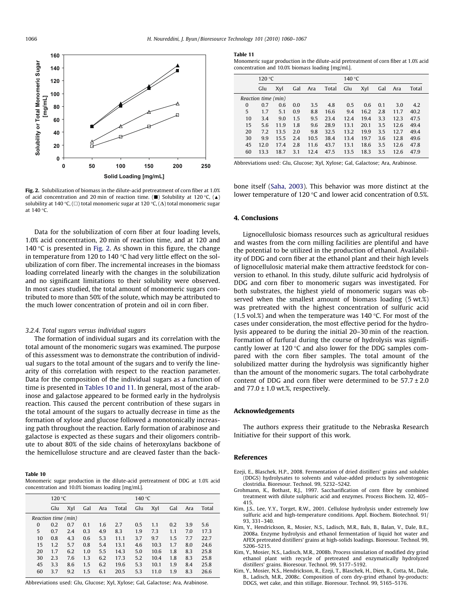<span id="page-6-0"></span>

Fig. 2. Solubilization of biomass in the dilute-acid pretreatment of corn fiber at 1.0% of acid concentration and 20 min of reaction time. ( $\blacksquare$ ) Solubility at 120 °C, ( $\blacktriangle$ ) solubility at 140 °C, ( $\square$ ) total monomeric sugar at 120 °C, ( $\Delta$ ) total monomeric sugar at 140 °C.

Data for the solubilization of corn fiber at four loading levels, 1.0% acid concentration, 20 min of reaction time, and at 120 and 140  $\degree$ C is presented in Fig. 2. As shown in this figure, the change in temperature from 120 to 140  $^{\circ}$ C had very little effect on the solubilization of corn fiber. The incremental increases in the biomass loading correlated linearly with the changes in the solubilization and no significant limitations to their solubility were observed. In most cases studied, the total amount of monomeric sugars contributed to more than 50% of the solute, which may be attributed to the much lower concentration of protein and oil in corn fiber.

#### 3.2.4. Total sugars versus individual sugars

The formation of individual sugars and its correlation with the total amount of the monomeric sugars was examined. The purpose of this assessment was to demonstrate the contribution of individual sugars to the total amount of the sugars and to verify the linearity of this correlation with respect to the reaction parameter. Data for the composition of the individual sugars as a function of time is presented in Tables 10 and 11. In general, most of the arabinose and galactose appeared to be formed early in the hydrolysis reaction. This caused the percent contribution of these sugars in the total amount of the sugars to actually decrease in time as the formation of xylose and glucose followed a monotonically increasing path throughout the reaction. Early formation of arabinose and galactose is expected as these sugars and their oligomers contribute to about 80% of the side chains of heteroxylans backbone of the hemicellulose structure and are cleaved faster than the back-

#### Table 10

Monomeric sugar production in the dilute-acid pretreatment of DDG at 1.0% acid concentration and 10.0% biomass loading [mg/mL].

|                     | 120 °C |     |     |     |       | 140 °C |      |     |     |       |  |
|---------------------|--------|-----|-----|-----|-------|--------|------|-----|-----|-------|--|
|                     | Glu    | Xyl | Gal | Ara | Total | Glu    | Xyl  | Gal | Ara | Total |  |
| Reaction time (min) |        |     |     |     |       |        |      |     |     |       |  |
| $\Omega$            | 0.2    | 0.7 | 0.1 | 1.6 | 2.7   | 0.5    | 1.1  | 0.2 | 3.9 | 5.6   |  |
| 5                   | 0.7    | 2.4 | 0.3 | 4.9 | 8.3   | 1.9    | 7.3  | 1.1 | 7.0 | 17.3  |  |
| 10                  | 0.8    | 4.3 | 0.6 | 5.3 | 11.1  | 3.7    | 9.7  | 1.5 | 7.7 | 22.7  |  |
| 15                  | 1.2    | 5.7 | 0.8 | 5.4 | 13.1  | 4.6    | 10.3 | 1.7 | 8.0 | 24.6  |  |
| 20                  | 1.7    | 6.2 | 1.0 | 5.5 | 14.3  | 5.0    | 10.6 | 1.8 | 8.3 | 25.8  |  |
| 30                  | 2.3    | 7.6 | 1.3 | 6.2 | 17.3  | 5.2    | 10.4 | 1.8 | 8.3 | 25.8  |  |
| 45                  | 3.3    | 8.6 | 1.5 | 6.2 | 19.6  | 5.3    | 10.1 | 1.9 | 8.4 | 25.8  |  |
| 60                  | 3.7    | 9.2 | 1.5 | 6.1 | 20.5  | 5.3    | 11.0 | 1.9 | 8.3 | 26.6  |  |

Abbreviations used: Glu, Glucose; Xyl, Xylose; Gal, Galactose; Ara, Arabinose.

#### Table 11

Monomeric sugar production in the dilute-acid pretreatment of corn fiber at 1.0% acid concentration and 10.0% biomass loading [mg/mL].

|                     | 120 °C |      |     |      | 140 $\degree$ C |      |      |     |      |       |
|---------------------|--------|------|-----|------|-----------------|------|------|-----|------|-------|
|                     | Glu    | Xyl  | Gal | Ara  | Total           | Glu  | Xyl  | Gal | Ara  | Total |
| Reaction time (min) |        |      |     |      |                 |      |      |     |      |       |
| $\Omega$            | 0.7    | 0.6  | 0.0 | 3.5  | 4.8             | 0.5  | 0.6  | 0.1 | 3.0  | 4.2   |
| 5                   | 1.7    | 5.1  | 0.9 | 8.8  | 16.6            | 9.4  | 16.2 | 2.8 | 11.7 | 40.2  |
| 10                  | 3.4    | 9.0  | 1.5 | 9.5  | 23.4            | 12.4 | 19.4 | 3.3 | 12.3 | 47.5  |
| 15                  | 5.6    | 11.9 | 1.8 | 9.6  | 28.9            | 13.1 | 20.1 | 3.5 | 12.6 | 49.4  |
| 20                  | 7.2    | 13.5 | 2.0 | 9.8  | 32.5            | 13.2 | 19.9 | 3.5 | 12.7 | 49.4  |
| 30                  | 9.9    | 15.5 | 2.4 | 10.5 | 38.4            | 13.4 | 19.7 | 3.6 | 12.8 | 49.6  |
| 45                  | 12.0   | 17.4 | 2.8 | 11.6 | 43.7            | 13.1 | 18.6 | 3.5 | 12.6 | 47.8  |
| 60                  | 13.3   | 18.7 | 3.1 | 12.4 | 47.5            | 13.5 | 18.3 | 3.5 | 12.6 | 47.9  |

Abbreviations used: Glu, Glucose; Xyl, Xylose; Gal, Galactose; Ara, Arabinose.

bone itself [\(Saha, 2003](#page-7-0)). This behavior was more distinct at the lower temperature of 120  $\degree$ C and lower acid concentration of 0.5%.

#### 4. Conclusions

Lignocellulosic biomass resources such as agricultural residues and wastes from the corn milling facilities are plentiful and have the potential to be utilized in the production of ethanol. Availability of DDG and corn fiber at the ethanol plant and their high levels of lignocellulosic material make them attractive feedstock for conversion to ethanol. In this study, dilute sulfuric acid hydrolysis of DDG and corn fiber to monomeric sugars was investigated. For both substrates, the highest yield of monomeric sugars was observed when the smallest amount of biomass loading (5 wt.%) was pretreated with the highest concentration of sulfuric acid (1.5 vol.%) and when the temperature was 140 °C. For most of the cases under consideration, the most effective period for the hydrolysis appeared to be during the initial 20–30 min of the reaction. Formation of furfural during the course of hydrolysis was significantly lower at 120  $\degree$ C and also lower for the DDG samples compared with the corn fiber samples. The total amount of the solubilized matter during the hydrolysis was significantly higher than the amount of the monomeric sugars. The total carbohydrate content of DDG and corn fiber were determined to be  $57.7 \pm 2.0$ and  $77.0 \pm 1.0$  wt.%, respectively.

#### Acknowledgements

The authors express their gratitude to the Nebraska Research Initiative for their support of this work.

#### References

- Ezeji, E., Blaschek, H.P., 2008. Fermentation of dried distillers' grains and solubles (DDGS) hydrolysates to solvents and value-added products by solventogenic clostridia. Bioresour. Technol. 99, 5232–5242.
- Grohmann, K., Bothast, R.J., 1997. Saccharification of corn fibre by combined treatment with dilute sulphuric acid and enzymes. Process Biochem. 32, 405– 415.
- Kim, J.S., Lee, Y.Y., Torget, R.W., 2001. Cellulose hydrolysis under extremely low sulfuric acid and high-temperature conditions. Appl. Biochem. Biotechnol. 91/ 93, 331–340.
- Kim, Y., Hendrickson, R., Mosier, N.S., Ladisch, M.R., Bals, B., Balan, V., Dale, B.E., 2008a. Enzyme hydrolysis and ethanol fermentation of liquid hot water and AFEX pretreated distillers' grains at high-solids loadings. Bioresour. Technol. 99, 5206–5215.
- Kim, Y., Mosier, N.S., Ladisch, M.R., 2008b. Process simulation of modified dry grind ethanol plant with recycle of pretreated and enzymatically hydrolyzed distillers' grains. Bioresour. Technol. 99, 5177–5192.
- Kim, Y., Mosier, N.S., Hendrickson, R., Ezeji, T., Blaschek, H., Dien, B., Cotta, M., Dale, B., Ladisch, M.R., 2008c. Composition of corn dry-grind ethanol by-products: DDGS, wet cake, and thin stillage. Bioresour. Technol. 99, 5165–5176.